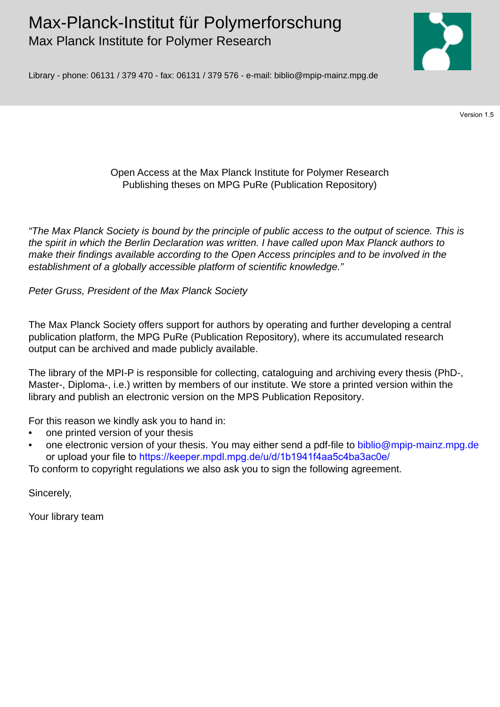# Max-Planck-Institut für Polymerforschung Max Planck Institute for Polymer Research



Library - phone: 06131 / 379 470 - fax: 06131 / 379 576 - e-mail: biblio@mpip-mainz.mpg.de

Version 1.5

## Open Access at the Max Planck Institute for Polymer Research Publishing theses on MPG PuRe (Publication Repository)

*"The Max Planck Society is bound by the principle of public access to the output of science. This is the spirit in which the Berlin Declaration was written. I have called upon Max Planck authors to make their findings available according to the Open Access principles and to be involved in the establishment of a globally accessible platform of scientific knowledge."* 

*Peter Gruss, President of the Max Planck Society* 

The Max Planck Society offers support for authors by operating and further developing a central publication platform, the MPG PuRe (Publication Repository), where its accumulated research output can be archived and made publicly available.

The library of the MPI-P is responsible for collecting, cataloguing and archiving every thesis (PhD-, Master-, Diploma-, i.e.) written by members of our institute. We store a printed version within the library and publish an electronic version on the MPS Publication Repository.

For this reason we kindly ask you to hand in:

- one printed version of your thesis
- one electronic version of your thesis. You may either send a pdf-file to biblio@mpip-mainz.mpg.de or upload your file to<https://keeper.mpdl.mpg.de/u/d/1b1941f4aa5c4ba3ac0e/>

To conform to copyright regulations we also ask you to sign the following agreement.

Sincerely,

Your library team